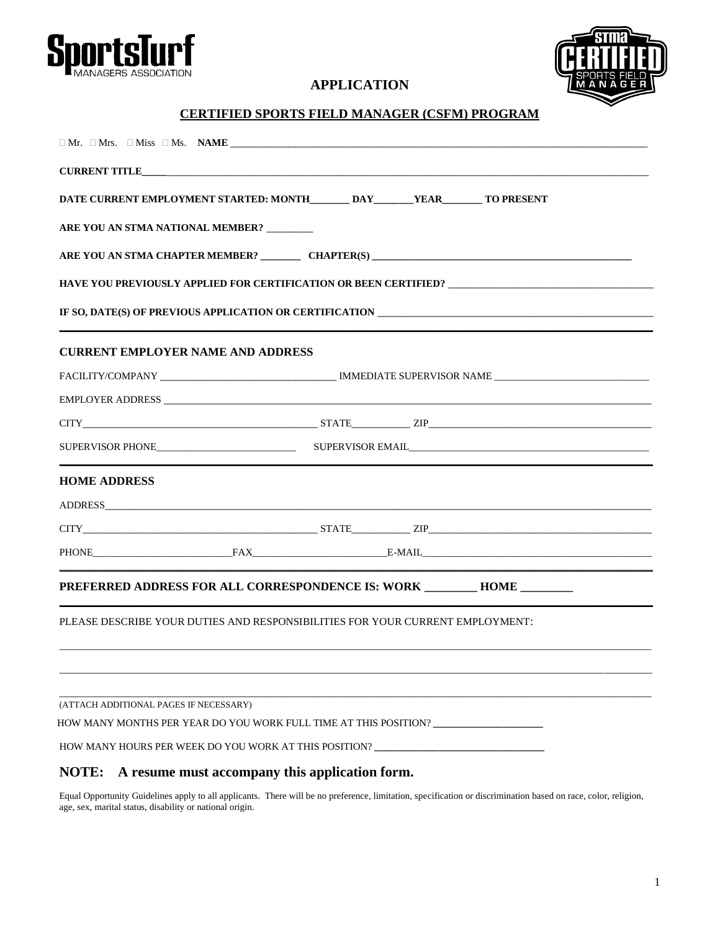



# **APPLICATION**

## **CERTIFIED SPORTS FIELD MANAGER (CSFM) PROGRAM**

| DATE CURRENT EMPLOYMENT STARTED: MONTH DAY YEAR TO PRESENT                    |  |                                                                                                      |  |
|-------------------------------------------------------------------------------|--|------------------------------------------------------------------------------------------------------|--|
| ARE YOU AN STMA NATIONAL MEMBER? _______                                      |  |                                                                                                      |  |
|                                                                               |  |                                                                                                      |  |
|                                                                               |  | HAVE YOU PREVIOUSLY APPLIED FOR CERTIFICATION OR BEEN CERTIFIED? ___________________________________ |  |
|                                                                               |  |                                                                                                      |  |
| <b>CURRENT EMPLOYER NAME AND ADDRESS</b>                                      |  |                                                                                                      |  |
|                                                                               |  |                                                                                                      |  |
|                                                                               |  |                                                                                                      |  |
|                                                                               |  |                                                                                                      |  |
|                                                                               |  |                                                                                                      |  |
| <b>HOME ADDRESS</b>                                                           |  |                                                                                                      |  |
|                                                                               |  |                                                                                                      |  |
|                                                                               |  |                                                                                                      |  |
|                                                                               |  | PHONE FAX FAX E-MAIL E-MAIL                                                                          |  |
| PREFERRED ADDRESS FOR ALL CORRESPONDENCE IS: WORK _________ HOME ________     |  |                                                                                                      |  |
| PLEASE DESCRIBE YOUR DUTIES AND RESPONSIBILITIES FOR YOUR CURRENT EMPLOYMENT: |  |                                                                                                      |  |
|                                                                               |  |                                                                                                      |  |
|                                                                               |  |                                                                                                      |  |
|                                                                               |  |                                                                                                      |  |

# **NOTE: A resume must accompany this application form.**

Equal Opportunity Guidelines apply to all applicants. There will be no preference, limitation, specification or discrimination based on race, color, religion, age, sex, marital status, disability or national origin.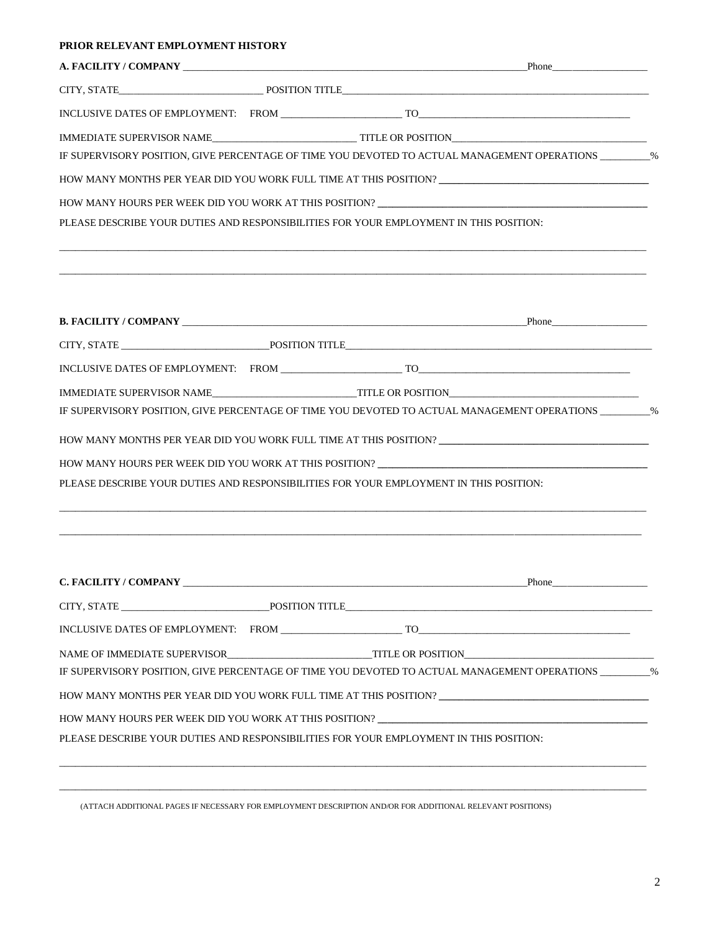### **PRIOR RELEVANT EMPLOYMENT HISTORY**

|  | A. FACILITY / COMPANY LATER COMPANY LATER AND RESERVE TO A SERVER THE Phone                              |  |
|--|----------------------------------------------------------------------------------------------------------|--|
|  |                                                                                                          |  |
|  |                                                                                                          |  |
|  |                                                                                                          |  |
|  | IF SUPERVISORY POSITION, GIVE PERCENTAGE OF TIME YOU DEVOTED TO ACTUAL MANAGEMENT OPERATIONS _________%  |  |
|  | HOW MANY MONTHS PER YEAR DID YOU WORK FULL TIME AT THIS POSITION? __________________________________     |  |
|  |                                                                                                          |  |
|  | PLEASE DESCRIBE YOUR DUTIES AND RESPONSIBILITIES FOR YOUR EMPLOYMENT IN THIS POSITION:                   |  |
|  |                                                                                                          |  |
|  |                                                                                                          |  |
|  |                                                                                                          |  |
|  |                                                                                                          |  |
|  | IMMEDIATE SUPERVISOR NAME THE OR POSITION                                                                |  |
|  | IF SUPERVISORY POSITION, GIVE PERCENTAGE OF TIME YOU DEVOTED TO ACTUAL MANAGEMENT OPERATIONS __________% |  |
|  | HOW MANY MONTHS PER YEAR DID YOU WORK FULL TIME AT THIS POSITION? _________________________________      |  |
|  | HOW MANY HOURS PER WEEK DID YOU WORK AT THIS POSITION?                                                   |  |
|  | PLEASE DESCRIBE YOUR DUTIES AND RESPONSIBILITIES FOR YOUR EMPLOYMENT IN THIS POSITION:                   |  |
|  |                                                                                                          |  |
|  | <b>C. FACILITY / COMPANY</b> Phone                                                                       |  |
|  |                                                                                                          |  |
|  |                                                                                                          |  |
|  |                                                                                                          |  |
|  | IF SUPERVISORY POSITION, GIVE PERCENTAGE OF TIME YOU DEVOTED TO ACTUAL MANAGEMENT OPERATIONS _________%  |  |
|  | HOW MANY MONTHS PER YEAR DID YOU WORK FULL TIME AT THIS POSITION? _________________________________      |  |
|  |                                                                                                          |  |
|  | PLEASE DESCRIBE YOUR DUTIES AND RESPONSIBILITIES FOR YOUR EMPLOYMENT IN THIS POSITION:                   |  |
|  |                                                                                                          |  |

(ATTACH ADDITIONAL PAGES IF NECESSARY FOR EMPLOYMENT DESCRIPTION AND/OR FOR ADDITIONAL RELEVANT POSITIONS)

\_\_\_\_\_\_\_\_\_\_\_\_\_\_\_\_\_\_\_\_\_\_\_\_\_\_\_\_\_\_\_\_\_\_\_\_\_\_\_\_\_\_\_\_\_\_\_\_\_\_\_\_\_\_\_\_\_\_\_\_\_\_\_\_\_\_\_\_\_\_\_\_\_\_\_\_\_\_\_\_\_\_\_\_\_\_\_\_\_\_\_\_\_\_\_\_\_\_\_\_\_\_\_\_\_\_\_\_\_\_\_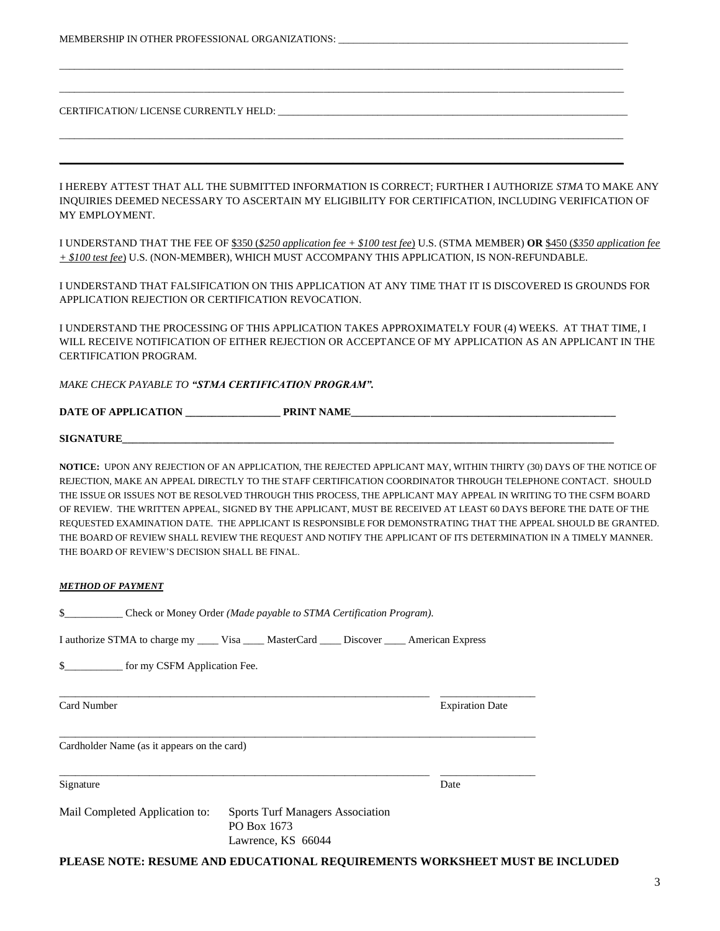INQUIRIES DEEMED NECESSARY TO ASCERTAIN MY ELIGIBILITY FOR CERTIFICATION, INCLUDING VERIFICATION OF MY EMPLOYMENT.

I UNDERSTAND THAT THE FEE OF \$350 (*\$250 application fee + \$100 test fee*) U.S. (STMA MEMBER) **OR** \$450 (*\$350 application fee + \$100 test fee*) U.S. (NON-MEMBER), WHICH MUST ACCOMPANY THIS APPLICATION, IS NON-REFUNDABLE.

I UNDERSTAND THAT FALSIFICATION ON THIS APPLICATION AT ANY TIME THAT IT IS DISCOVERED IS GROUNDS FOR APPLICATION REJECTION OR CERTIFICATION REVOCATION.

I UNDERSTAND THE PROCESSING OF THIS APPLICATION TAKES APPROXIMATELY FOUR (4) WEEKS. AT THAT TIME, I WILL RECEIVE NOTIFICATION OF EITHER REJECTION OR ACCEPTANCE OF MY APPLICATION AS AN APPLICANT IN THE CERTIFICATION PROGRAM.

### *MAKE CHECK PAYABLE TO "STMA CERTIFICATION PROGRAM".*

| <b>DATE OF APPLICATION</b> | <b>PRINT NAME</b> |  |
|----------------------------|-------------------|--|
|                            |                   |  |

 ${\bf SIGNATURE}$ 

**NOTICE:** UPON ANY REJECTION OF AN APPLICATION, THE REJECTED APPLICANT MAY, WITHIN THIRTY (30) DAYS OF THE NOTICE OF REJECTION, MAKE AN APPEAL DIRECTLY TO THE STAFF CERTIFICATION COORDINATOR THROUGH TELEPHONE CONTACT. SHOULD THE ISSUE OR ISSUES NOT BE RESOLVED THROUGH THIS PROCESS, THE APPLICANT MAY APPEAL IN WRITING TO THE CSFM BOARD OF REVIEW. THE WRITTEN APPEAL, SIGNED BY THE APPLICANT, MUST BE RECEIVED AT LEAST 60 DAYS BEFORE THE DATE OF THE REQUESTED EXAMINATION DATE. THE APPLICANT IS RESPONSIBLE FOR DEMONSTRATING THAT THE APPEAL SHOULD BE GRANTED. THE BOARD OF REVIEW SHALL REVIEW THE REQUEST AND NOTIFY THE APPLICANT OF ITS DETERMINATION IN A TIMELY MANNER. THE BOARD OF REVIEW'S DECISION SHALL BE FINAL.

#### *METHOD OF PAYMENT*

\$\_\_\_\_\_\_\_\_\_\_\_ Check or Money Order *(Made payable to STMA Certification Program).*

I authorize STMA to charge my \_\_\_\_ Visa \_\_\_\_ MasterCard \_\_\_\_ Discover \_\_\_\_ American Express

\$\_\_\_\_\_\_\_\_\_\_\_ for my CSFM Application Fee.

Card Number Expiration Date

Cardholder Name (as it appears on the card)

Signature Date Date of the Date of the United States of the Date of the Date of the Date of the Date of the United States of the United States of the United States of the United States of the United States of the United St

Mail Completed Application to: Sports Turf Managers Association

PO Box 1673 Lawrence, KS 66044

\_\_\_\_\_\_\_\_\_\_\_\_\_\_\_\_\_\_\_\_\_\_\_\_\_\_\_\_\_\_\_\_\_\_\_\_\_\_\_\_\_\_\_\_\_\_\_\_\_\_\_\_\_\_\_\_\_\_\_\_\_\_\_\_\_\_\_\_\_\_ \_\_\_\_\_\_\_\_\_\_\_\_\_\_\_\_\_\_

\_\_\_\_\_\_\_\_\_\_\_\_\_\_\_\_\_\_\_\_\_\_\_\_\_\_\_\_\_\_\_\_\_\_\_\_\_\_\_\_\_\_\_\_\_\_\_\_\_\_\_\_\_\_\_\_\_\_\_\_\_\_\_\_\_\_\_\_\_\_\_\_\_\_\_\_\_\_\_\_\_\_\_\_\_\_\_\_\_\_

\_\_\_\_\_\_\_\_\_\_\_\_\_\_\_\_\_\_\_\_\_\_\_\_\_\_\_\_\_\_\_\_\_\_\_\_\_\_\_\_\_\_\_\_\_\_\_\_\_\_\_\_\_\_\_\_\_\_\_\_\_\_\_\_\_\_\_\_\_\_ \_\_\_\_\_\_\_\_\_\_\_\_\_\_\_\_\_\_

**PLEASE NOTE: RESUME AND EDUCATIONAL REQUIREMENTS WORKSHEET MUST BE INCLUDED**